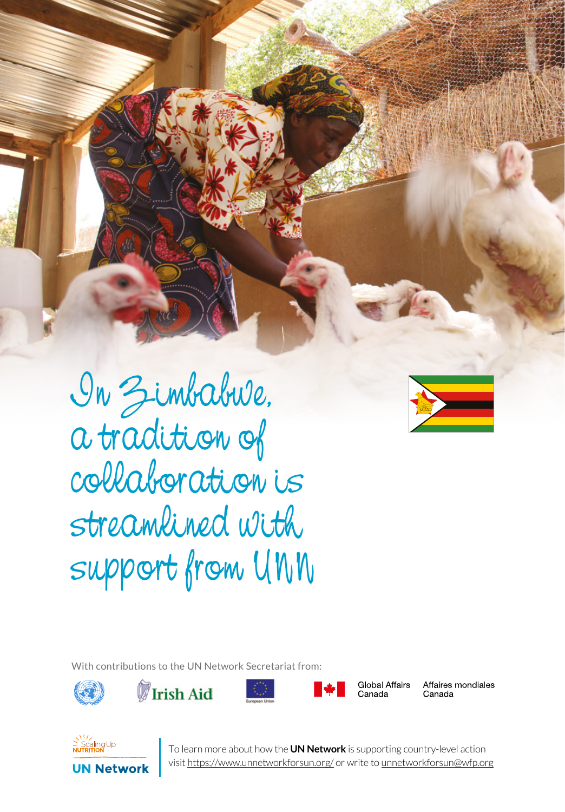In Zimbabwe, a tradition of collaboration is streamlined with support from UNN



With contributions to the UN Network Secretariat from:







SERIES 1 UN NEW YORK TALES 1



**Global Affairs** 

Affaires mondiales Canada



To learn more about how the **UN Network** is supporting country-level action<br>visit <u>https://www.unnetworkforsun.org/</u> or write to <u>unnetworkforsun@wfp.org</u> To learn more about how the **UN Network** is supporting country-level action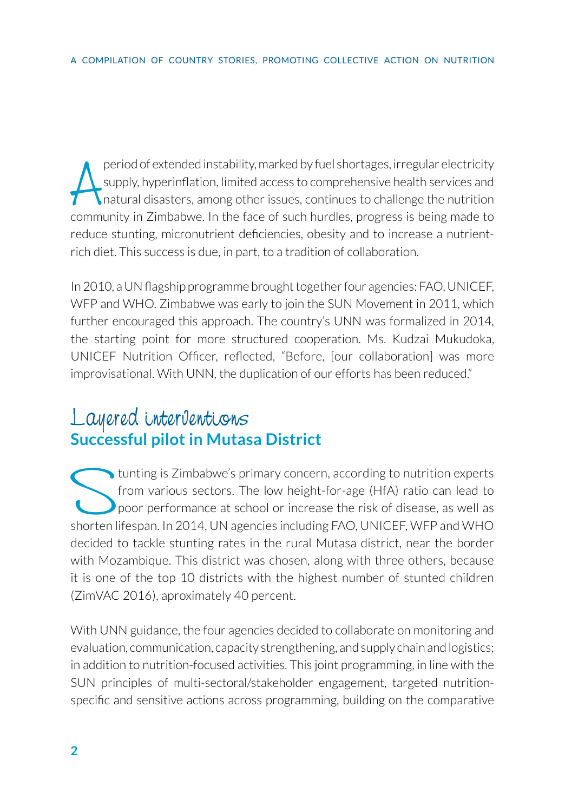period of extended instability, marked by fuel shortages, irregular electricity<br>supply, hyperinflation, limited access to comprehensive health services and<br>natural disasters, among other issues, continues to challenge the period of extended instability, marked by fuel shortages, irregular electricity supply, hyperinflation, limited access to comprehensive health services and natural disasters, among other issues, continues to challenge the nutrition reduce stunting, micronutrient deficiencies, obesity and to increase a nutrientrich diet. This success is due, in part, to a tradition of collaboration.

In 2010, a UN flagship programme brought together four agencies: FAO, UNICEF, WFP and WHO. Zimbabwe was early to join the SUN Movement in 2011, which further encouraged this approach. The country's UNN was formalized in 2014, the starting point for more structured cooperation. Ms. Kudzai Mukudoka, UNICEF Nutrition Officer, reflected, "Before, [our collaboration] was more improvisational. With UNN, the duplication of our efforts has been reduced."

## Layered interventions **Successful pilot in Mutasa District**

Stunting is Zimbabwe's primary concern, according to nutrition experts<br>from various sectors. The low height-for-age (HfA) ratio can lead to<br>poor performance at school or increase the risk of disease, as well as<br>shorten lif from various sectors. The low height-for-age (HfA) ratio can lead to poor performance at school or increase the risk of disease, as well as shorten lifespan. In 2014, UN agencies including FAO, UNICEF, WFP and WHO decided to tackle stunting rates in the rural Mutasa district, near the border with Mozambique. This district was chosen, along with three others, because it is one of the top 10 districts with the highest number of stunted children (ZimVAC 2016), aproximately 40 percent.

With UNN guidance, the four agencies decided to collaborate on monitoring and evaluation, communication, capacity strengthening, and supply chain and logistics; in addition to nutrition-focused activities. This joint programming, in line with the SUN principles of multi-sectoral/stakeholder engagement, targeted nutritionspecific and sensitive actions across programming, building on the comparative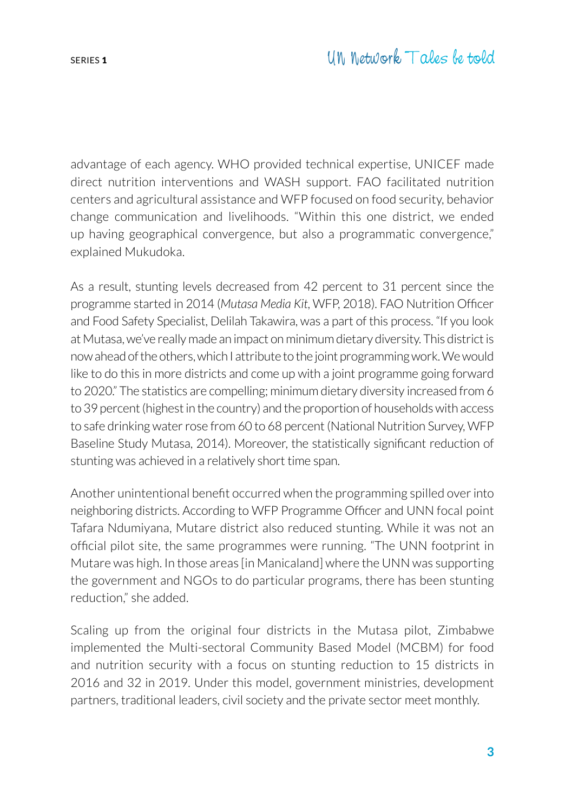advantage of each agency. WHO provided technical expertise, UNICEF made direct nutrition interventions and WASH support. FAO facilitated nutrition centers and agricultural assistance and WFP focused on food security, behavior change communication and livelihoods. "Within this one district, we ended up having geographical convergence, but also a programmatic convergence," explained Mukudoka.

As a result, stunting levels decreased from 42 percent to 31 percent since the programme started in 2014 (*Mutasa Media Kit*, WFP, 2018). FAO Nutrition Officer and Food Safety Specialist, Delilah Takawira, was a part of this process. "If you look at Mutasa, we've really made an impact on minimum dietary diversity. This district is now ahead of the others, which I attribute to the joint programming work. We would like to do this in more districts and come up with a joint programme going forward to 2020." The statistics are compelling; minimum dietary diversity increased from 6 to 39 percent (highest in the country) and the proportion of households with access to safe drinking water rose from 60 to 68 percent (National Nutrition Survey, WFP Baseline Study Mutasa, 2014). Moreover, the statistically significant reduction of stunting was achieved in a relatively short time span.

Another unintentional benefit occurred when the programming spilled over into neighboring districts. According to WFP Programme Officer and UNN focal point Tafara Ndumiyana, Mutare district also reduced stunting. While it was not an official pilot site, the same programmes were running. "The UNN footprint in Mutare was high. In those areas [in Manicaland] where the UNN was supporting the government and NGOs to do particular programs, there has been stunting reduction," she added.

Scaling up from the original four districts in the Mutasa pilot, Zimbabwe implemented the Multi-sectoral Community Based Model (MCBM) for food and nutrition security with a focus on stunting reduction to 15 districts in 2016 and 32 in 2019. Under this model, government ministries, development partners, traditional leaders, civil society and the private sector meet monthly.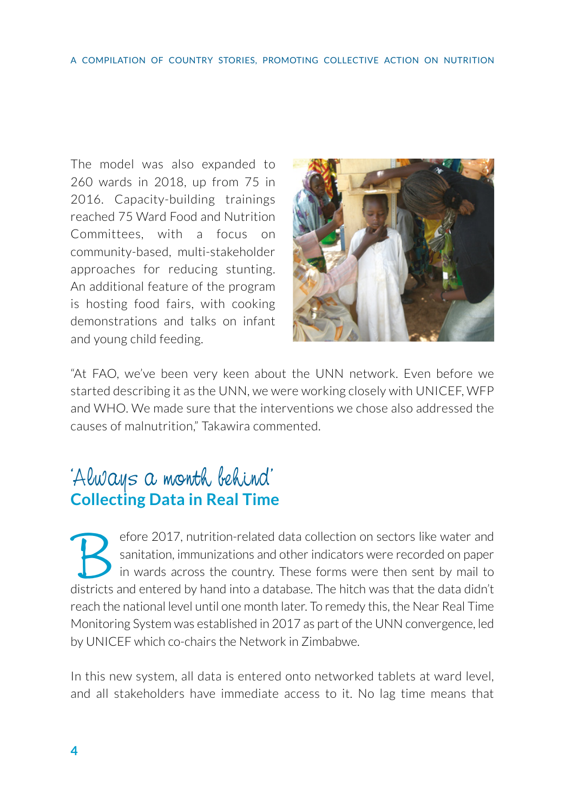## A COMPILATION OF COUNTRY STORIES, PROMOTING COLLECTIVE ACTION ON NUTRITION

The model was also expanded to 260 wards in 2018, up from 75 in 2016. Capacity-building trainings reached 75 Ward Food and Nutrition Committees, with a focus on community-based, multi-stakeholder approaches for reducing stunting. An additional feature of the program is hosting food fairs, with cooking demonstrations and talks on infant and young child feeding.



"At FAO, we've been very keen about the UNN network. Even before we started describing it as the UNN, we were working closely with UNICEF, WFP and WHO. We made sure that the interventions we chose also addressed the causes of malnutrition," Takawira commented.

## 'Always a month behind' **Collecting Data in Real Time**

Experience 2017, nutrition-related data collection on sectors like water and sanitation, immunizations and other indicators were recorded on paper in wards across the country. These forms were then sent by mail to district sanitation, immunizations and other indicators were recorded on paper in wards across the country. These forms were then sent by mail to districts and entered by hand into a database. The hitch was that the data didn't reach the national level until one month later. To remedy this, the Near Real Time Monitoring System was established in 2017 as part of the UNN convergence, led by UNICEF which co-chairs the Network in Zimbabwe.

In this new system, all data is entered onto networked tablets at ward level, and all stakeholders have immediate access to it. No lag time means that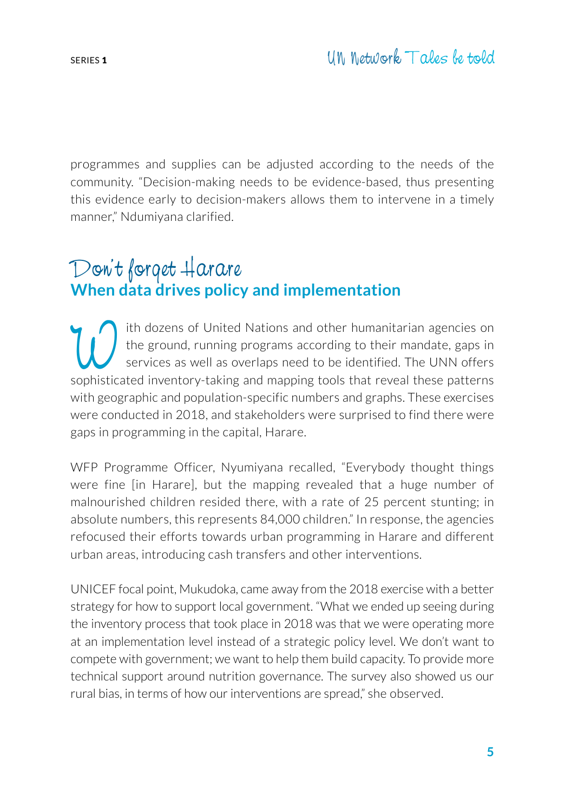programmes and supplies can be adjusted according to the needs of the community. "Decision-making needs to be evidence-based, thus presenting this evidence early to decision-makers allows them to intervene in a timely manner," Ndumiyana clarified.

## Don't forget Harare **When data drives policy and implementation**

Ith dozens of United Nations and other humanitarian agencies on<br>the ground, running programs according to their mandate, gaps in<br>services as well as overlaps need to be identified. The UNN offers<br>sophisticated inventory-ta the ground, running programs according to their mandate, gaps in services as well as overlaps need to be identified. The UNN offers sophisticated inventory-taking and mapping tools that reveal these patterns with geographic and population-specific numbers and graphs. These exercises were conducted in 2018, and stakeholders were surprised to find there were gaps in programming in the capital, Harare.

WFP Programme Officer, Nyumiyana recalled, "Everybody thought things were fine [in Harare], but the mapping revealed that a huge number of malnourished children resided there, with a rate of 25 percent stunting; in absolute numbers, this represents 84,000 children." In response, the agencies refocused their efforts towards urban programming in Harare and different urban areas, introducing cash transfers and other interventions.

UNICEF focal point, Mukudoka, came away from the 2018 exercise with a better strategy for how to support local government. "What we ended up seeing during the inventory process that took place in 2018 was that we were operating more at an implementation level instead of a strategic policy level. We don't want to compete with government; we want to help them build capacity. To provide more technical support around nutrition governance. The survey also showed us our rural bias, in terms of how our interventions are spread," she observed.